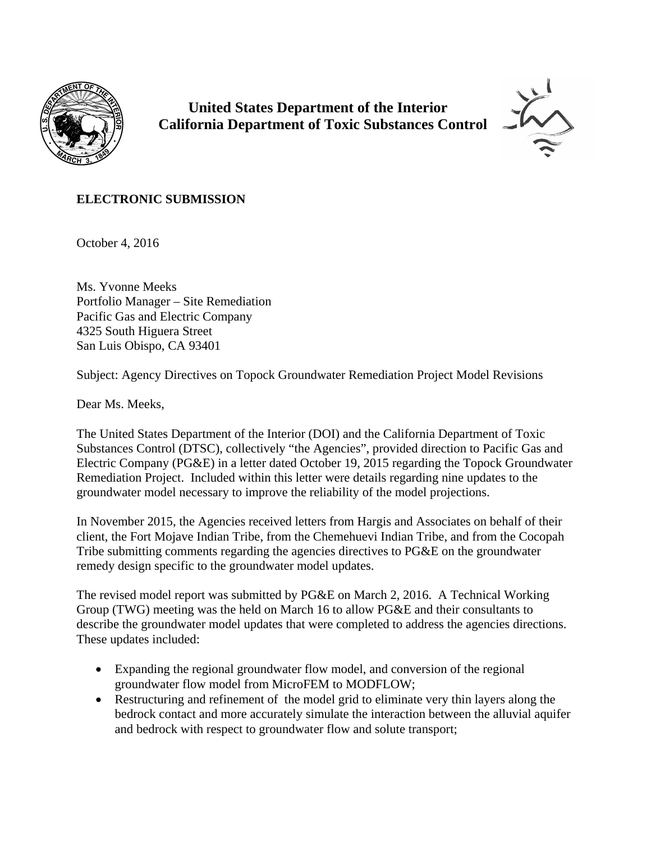

 **United States Department of the Interior California Department of Toxic Substances Control**



## **ELECTRONIC SUBMISSION**

October 4, 2016

Ms. Yvonne Meeks Portfolio Manager – Site Remediation Pacific Gas and Electric Company 4325 South Higuera Street San Luis Obispo, CA 93401

Subject: Agency Directives on Topock Groundwater Remediation Project Model Revisions

Dear Ms. Meeks,

The United States Department of the Interior (DOI) and the California Department of Toxic Substances Control (DTSC), collectively "the Agencies", provided direction to Pacific Gas and Electric Company (PG&E) in a letter dated October 19, 2015 regarding the Topock Groundwater Remediation Project. Included within this letter were details regarding nine updates to the groundwater model necessary to improve the reliability of the model projections.

In November 2015, the Agencies received letters from Hargis and Associates on behalf of their client, the Fort Mojave Indian Tribe, from the Chemehuevi Indian Tribe, and from the Cocopah Tribe submitting comments regarding the agencies directives to PG&E on the groundwater remedy design specific to the groundwater model updates.

The revised model report was submitted by PG&E on March 2, 2016. A Technical Working Group (TWG) meeting was the held on March 16 to allow PG&E and their consultants to describe the groundwater model updates that were completed to address the agencies directions. These updates included:

- Expanding the regional groundwater flow model, and conversion of the regional groundwater flow model from MicroFEM to MODFLOW;
- Restructuring and refinement of the model grid to eliminate very thin layers along the bedrock contact and more accurately simulate the interaction between the alluvial aquifer and bedrock with respect to groundwater flow and solute transport;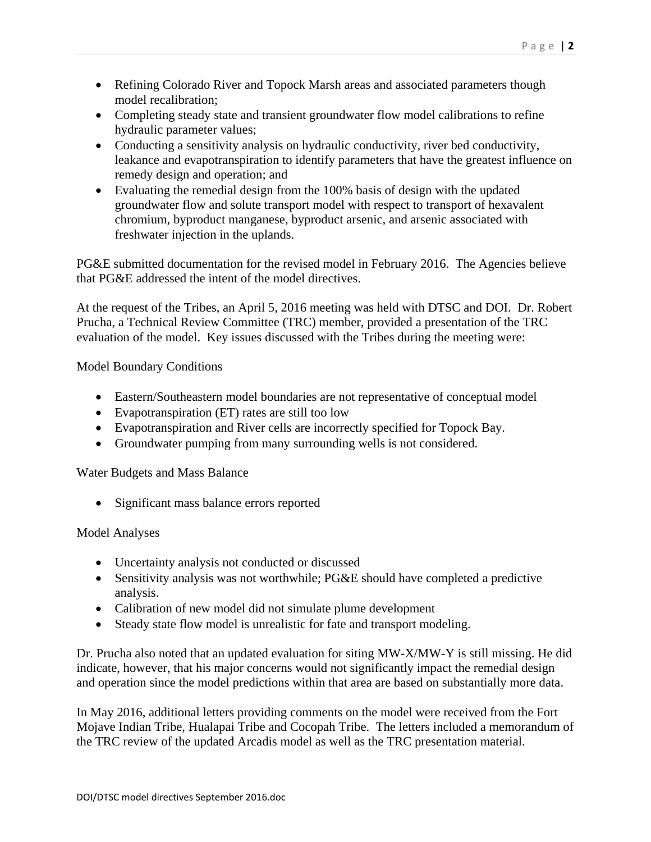- Refining Colorado River and Topock Marsh areas and associated parameters though model recalibration;
- Completing steady state and transient groundwater flow model calibrations to refine hydraulic parameter values;
- Conducting a sensitivity analysis on hydraulic conductivity, river bed conductivity, leakance and evapotranspiration to identify parameters that have the greatest influence on remedy design and operation; and
- Evaluating the remedial design from the 100% basis of design with the updated groundwater flow and solute transport model with respect to transport of hexavalent chromium, byproduct manganese, byproduct arsenic, and arsenic associated with freshwater injection in the uplands.

PG&E submitted documentation for the revised model in February 2016. The Agencies believe that PG&E addressed the intent of the model directives.

At the request of the Tribes, an April 5, 2016 meeting was held with DTSC and DOI. Dr. Robert Prucha, a Technical Review Committee (TRC) member, provided a presentation of the TRC evaluation of the model. Key issues discussed with the Tribes during the meeting were:

Model Boundary Conditions

- Eastern/Southeastern model boundaries are not representative of conceptual model
- Evapotranspiration (ET) rates are still too low
- Evapotranspiration and River cells are incorrectly specified for Topock Bay.
- Groundwater pumping from many surrounding wells is not considered.

Water Budgets and Mass Balance

Significant mass balance errors reported

## Model Analyses

- Uncertainty analysis not conducted or discussed
- Sensitivity analysis was not worthwhile; PG&E should have completed a predictive analysis.
- Calibration of new model did not simulate plume development
- Steady state flow model is unrealistic for fate and transport modeling.

Dr. Prucha also noted that an updated evaluation for siting MW-X/MW-Y is still missing. He did indicate, however, that his major concerns would not significantly impact the remedial design and operation since the model predictions within that area are based on substantially more data.

In May 2016, additional letters providing comments on the model were received from the Fort Mojave Indian Tribe, Hualapai Tribe and Cocopah Tribe. The letters included a memorandum of the TRC review of the updated Arcadis model as well as the TRC presentation material.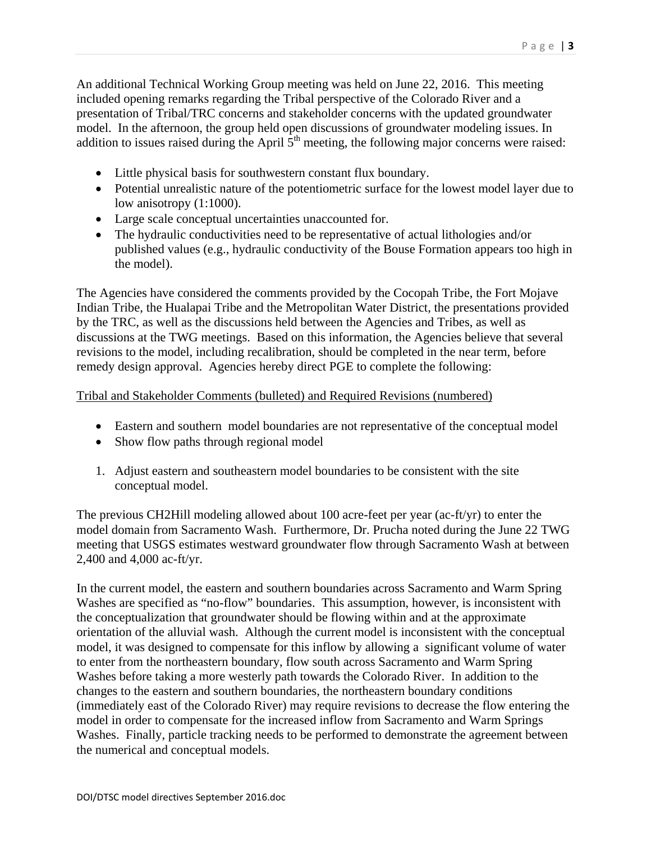An additional Technical Working Group meeting was held on June 22, 2016. This meeting included opening remarks regarding the Tribal perspective of the Colorado River and a presentation of Tribal/TRC concerns and stakeholder concerns with the updated groundwater model. In the afternoon, the group held open discussions of groundwater modeling issues. In addition to issues raised during the April  $5<sup>th</sup>$  meeting, the following major concerns were raised:

- Little physical basis for southwestern constant flux boundary.
- Potential unrealistic nature of the potentiometric surface for the lowest model layer due to low anisotropy (1:1000).
- Large scale conceptual uncertainties unaccounted for.
- The hydraulic conductivities need to be representative of actual lithologies and/or published values (e.g., hydraulic conductivity of the Bouse Formation appears too high in the model).

The Agencies have considered the comments provided by the Cocopah Tribe, the Fort Mojave Indian Tribe, the Hualapai Tribe and the Metropolitan Water District, the presentations provided by the TRC, as well as the discussions held between the Agencies and Tribes, as well as discussions at the TWG meetings. Based on this information, the Agencies believe that several revisions to the model, including recalibration, should be completed in the near term, before remedy design approval. Agencies hereby direct PGE to complete the following:

## Tribal and Stakeholder Comments (bulleted) and Required Revisions (numbered)

- Eastern and southern model boundaries are not representative of the conceptual model
- Show flow paths through regional model
- 1. Adjust eastern and southeastern model boundaries to be consistent with the site conceptual model.

The previous CH2Hill modeling allowed about 100 acre-feet per year (ac-ft/yr) to enter the model domain from Sacramento Wash. Furthermore, Dr. Prucha noted during the June 22 TWG meeting that USGS estimates westward groundwater flow through Sacramento Wash at between 2,400 and 4,000 ac-ft/yr.

In the current model, the eastern and southern boundaries across Sacramento and Warm Spring Washes are specified as "no-flow" boundaries. This assumption, however, is inconsistent with the conceptualization that groundwater should be flowing within and at the approximate orientation of the alluvial wash. Although the current model is inconsistent with the conceptual model, it was designed to compensate for this inflow by allowing a significant volume of water to enter from the northeastern boundary, flow south across Sacramento and Warm Spring Washes before taking a more westerly path towards the Colorado River. In addition to the changes to the eastern and southern boundaries, the northeastern boundary conditions (immediately east of the Colorado River) may require revisions to decrease the flow entering the model in order to compensate for the increased inflow from Sacramento and Warm Springs Washes. Finally, particle tracking needs to be performed to demonstrate the agreement between the numerical and conceptual models.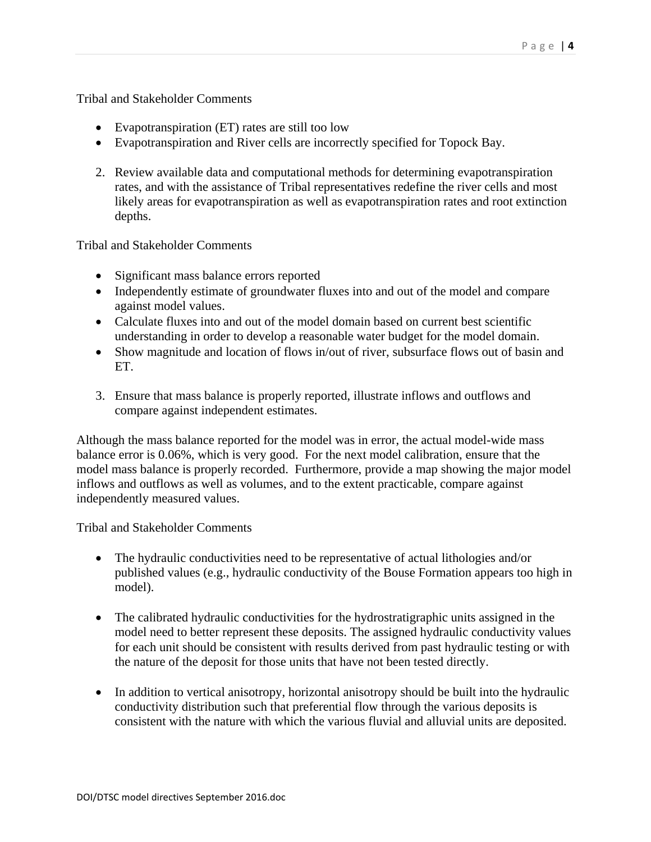Tribal and Stakeholder Comments

- Evapotranspiration (ET) rates are still too low
- Evapotranspiration and River cells are incorrectly specified for Topock Bay.
- 2. Review available data and computational methods for determining evapotranspiration rates, and with the assistance of Tribal representatives redefine the river cells and most likely areas for evapotranspiration as well as evapotranspiration rates and root extinction depths.

Tribal and Stakeholder Comments

- Significant mass balance errors reported
- Independently estimate of groundwater fluxes into and out of the model and compare against model values.
- Calculate fluxes into and out of the model domain based on current best scientific understanding in order to develop a reasonable water budget for the model domain.
- Show magnitude and location of flows in/out of river, subsurface flows out of basin and ET.
- 3. Ensure that mass balance is properly reported, illustrate inflows and outflows and compare against independent estimates.

Although the mass balance reported for the model was in error, the actual model-wide mass balance error is 0.06%, which is very good. For the next model calibration, ensure that the model mass balance is properly recorded. Furthermore, provide a map showing the major model inflows and outflows as well as volumes, and to the extent practicable, compare against independently measured values.

Tribal and Stakeholder Comments

- The hydraulic conductivities need to be representative of actual lithologies and/or published values (e.g., hydraulic conductivity of the Bouse Formation appears too high in model).
- The calibrated hydraulic conductivities for the hydrostratigraphic units assigned in the model need to better represent these deposits. The assigned hydraulic conductivity values for each unit should be consistent with results derived from past hydraulic testing or with the nature of the deposit for those units that have not been tested directly.
- In addition to vertical anisotropy, horizontal anisotropy should be built into the hydraulic conductivity distribution such that preferential flow through the various deposits is consistent with the nature with which the various fluvial and alluvial units are deposited.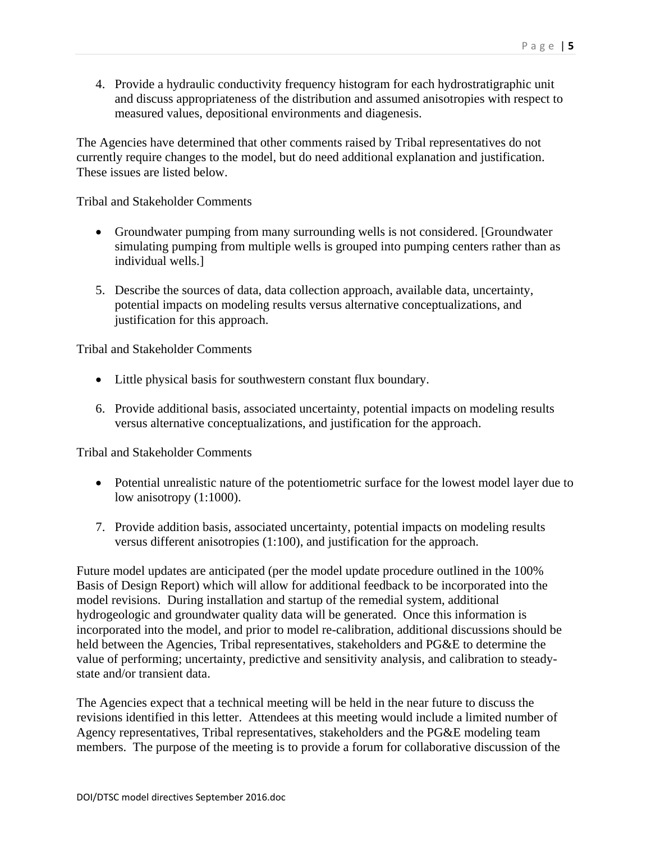4. Provide a hydraulic conductivity frequency histogram for each hydrostratigraphic unit and discuss appropriateness of the distribution and assumed anisotropies with respect to measured values, depositional environments and diagenesis.

The Agencies have determined that other comments raised by Tribal representatives do not currently require changes to the model, but do need additional explanation and justification. These issues are listed below.

Tribal and Stakeholder Comments

- Groundwater pumping from many surrounding wells is not considered. [Groundwater simulating pumping from multiple wells is grouped into pumping centers rather than as individual wells.]
- 5. Describe the sources of data, data collection approach, available data, uncertainty, potential impacts on modeling results versus alternative conceptualizations, and justification for this approach.

Tribal and Stakeholder Comments

- Little physical basis for southwestern constant flux boundary.
- 6. Provide additional basis, associated uncertainty, potential impacts on modeling results versus alternative conceptualizations, and justification for the approach.

Tribal and Stakeholder Comments

- Potential unrealistic nature of the potentiometric surface for the lowest model layer due to low anisotropy (1:1000).
- 7. Provide addition basis, associated uncertainty, potential impacts on modeling results versus different anisotropies (1:100), and justification for the approach.

Future model updates are anticipated (per the model update procedure outlined in the 100% Basis of Design Report) which will allow for additional feedback to be incorporated into the model revisions. During installation and startup of the remedial system, additional hydrogeologic and groundwater quality data will be generated. Once this information is incorporated into the model, and prior to model re-calibration, additional discussions should be held between the Agencies, Tribal representatives, stakeholders and PG&E to determine the value of performing; uncertainty, predictive and sensitivity analysis, and calibration to steadystate and/or transient data.

The Agencies expect that a technical meeting will be held in the near future to discuss the revisions identified in this letter. Attendees at this meeting would include a limited number of Agency representatives, Tribal representatives, stakeholders and the PG&E modeling team members. The purpose of the meeting is to provide a forum for collaborative discussion of the